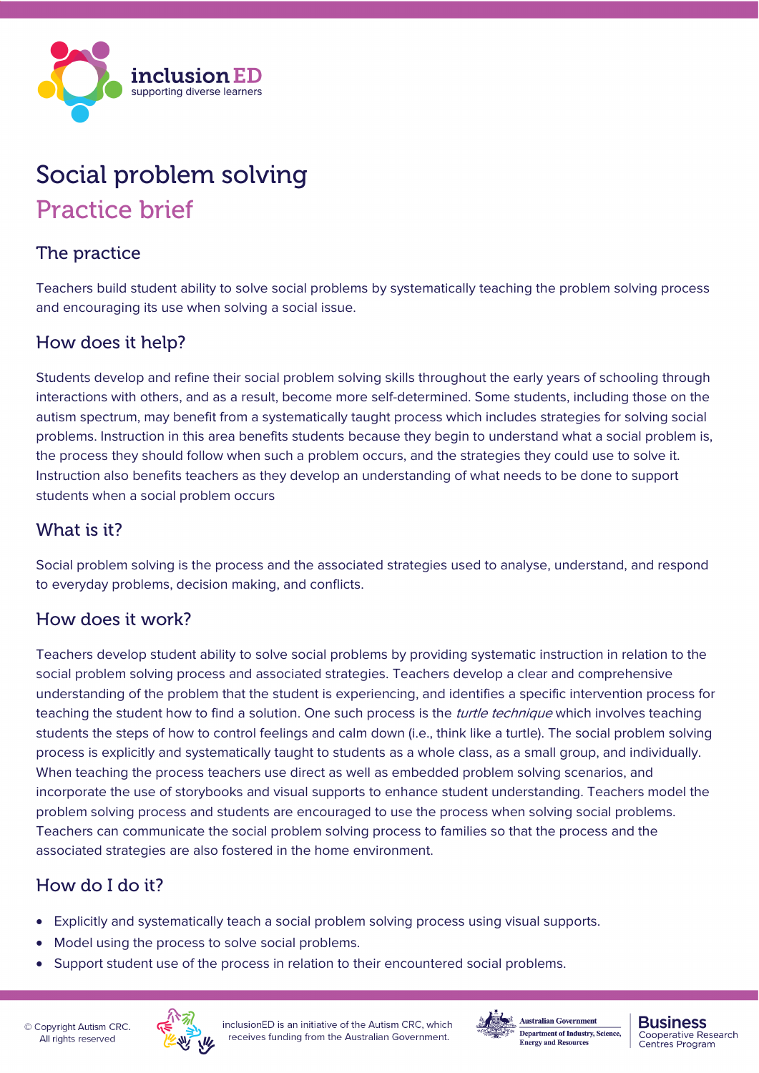

# Social problem solving Practice brief

### The practice

Teachers build student ability to solve social problems by systematically teaching the problem solving process and encouraging its use when solving a social issue.

#### How does it help?

Students develop and refine their social problem solving skills throughout the early years of schooling through interactions with others, and as a result, become more self-determined. Some students, including those on the autism spectrum, may benefit from a systematically taught process which includes strategies for solving social problems. Instruction in this area benefits students because they begin to understand what a social problem is, the process they should follow when such a problem occurs, and the strategies they could use to solve it. Instruction also benefits teachers as they develop an understanding of what needs to be done to support students when a social problem occurs

#### What is it?

Social problem solving is the process and the associated strategies used to analyse, understand, and respond to everyday problems, decision making, and conflicts.

#### How does it work?

Teachers develop student ability to solve social problems by providing systematic instruction in relation to the social problem solving process and associated strategies. Teachers develop a clear and comprehensive understanding of the problem that the student is experiencing, and identifies a specific intervention process for teaching the student how to find a solution. One such process is the *turtle technique* which involves teaching students the steps of how to control feelings and calm down (i.e., think like a turtle). The social problem solving process is explicitly and systematically taught to students as a whole class, as a small group, and individually. When teaching the process teachers use direct as well as embedded problem solving scenarios, and incorporate the use of storybooks and visual supports to enhance student understanding. Teachers model the problem solving process and students are encouraged to use the process when solving social problems. Teachers can communicate the social problem solving process to families so that the process and the associated strategies are also fostered in the home environment.

## How do I do it?

- Explicitly and systematically teach a social problem solving process using visual supports.
- Model using the process to solve social problems.
- Support student use of the process in relation to their encountered social problems.





**Australian Government** Department of Industry, Science, **Energy and Resources** 

#### **Business Cooperative Research** Centres Program